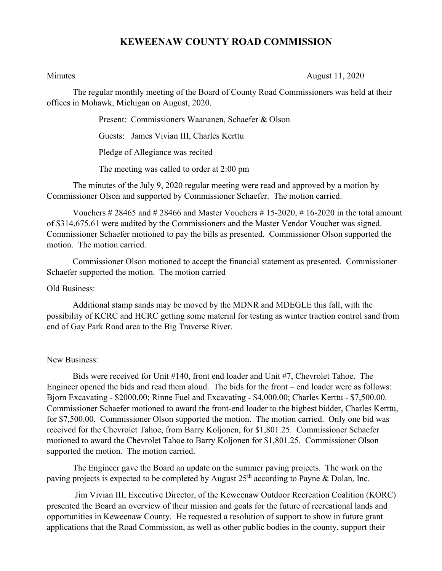## **KEWEENAW COUNTY ROAD COMMISSION**

Minutes August 11, 2020

The regular monthly meeting of the Board of County Road Commissioners was held at their offices in Mohawk, Michigan on August, 2020.

Present: Commissioners Waananen, Schaefer & Olson

Guests: James Vivian III, Charles Kerttu

Pledge of Allegiance was recited

The meeting was called to order at 2:00 pm

The minutes of the July 9, 2020 regular meeting were read and approved by a motion by Commissioner Olson and supported by Commissioner Schaefer. The motion carried.

Vouchers  $\#28465$  and  $\#28466$  and Master Vouchers  $\#15-2020$ ,  $\#16-2020$  in the total amount of \$314,675.61 were audited by the Commissioners and the Master Vendor Voucher was signed. Commissioner Schaefer motioned to pay the bills as presented. Commissioner Olson supported the motion. The motion carried.

Commissioner Olson motioned to accept the financial statement as presented. Commissioner Schaefer supported the motion. The motion carried

Old Business:

Additional stamp sands may be moved by the MDNR and MDEGLE this fall, with the possibility of KCRC and HCRC getting some material for testing as winter traction control sand from end of Gay Park Road area to the Big Traverse River.

## New Business:

Bids were received for Unit #140, front end loader and Unit #7, Chevrolet Tahoe. The Engineer opened the bids and read them aloud. The bids for the front – end loader were as follows: Bjorn Excavating - \$2000.00; Rinne Fuel and Excavating - \$4,000.00; Charles Kerttu - \$7,500.00. Commissioner Schaefer motioned to award the front-end loader to the highest bidder, Charles Kerttu, for \$7,500.00. Commissioner Olson supported the motion. The motion carried. Only one bid was received for the Chevrolet Tahoe, from Barry Koljonen, for \$1,801.25. Commissioner Schaefer motioned to award the Chevrolet Tahoe to Barry Koljonen for \$1,801.25. Commissioner Olson supported the motion. The motion carried.

The Engineer gave the Board an update on the summer paving projects. The work on the paving projects is expected to be completed by August  $25<sup>th</sup>$  according to Payne & Dolan, Inc.

Jim Vivian III, Executive Director, of the Keweenaw Outdoor Recreation Coalition (KORC) presented the Board an overview of their mission and goals for the future of recreational lands and opportunities in Keweenaw County. He requested a resolution of support to show in future grant applications that the Road Commission, as well as other public bodies in the county, support their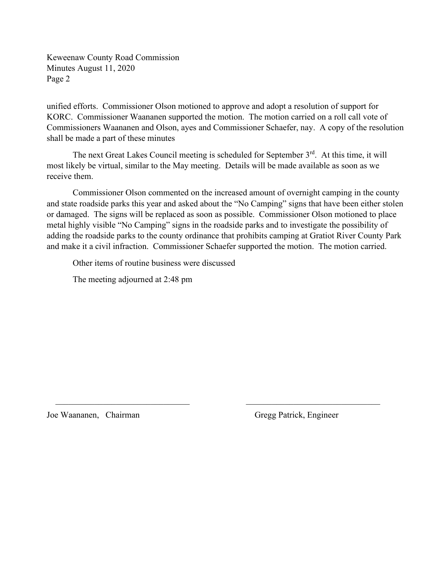Keweenaw County Road Commission Minutes August 11, 2020 Page 2

unified efforts. Commissioner Olson motioned to approve and adopt a resolution of support for KORC. Commissioner Waananen supported the motion. The motion carried on a roll call vote of Commissioners Waananen and Olson, ayes and Commissioner Schaefer, nay. A copy of the resolution shall be made a part of these minutes

The next Great Lakes Council meeting is scheduled for September 3<sup>rd</sup>. At this time, it will most likely be virtual, similar to the May meeting. Details will be made available as soon as we receive them.

Commissioner Olson commented on the increased amount of overnight camping in the county and state roadside parks this year and asked about the "No Camping" signs that have been either stolen or damaged. The signs will be replaced as soon as possible. Commissioner Olson motioned to place metal highly visible "No Camping" signs in the roadside parks and to investigate the possibility of adding the roadside parks to the county ordinance that prohibits camping at Gratiot River County Park and make it a civil infraction. Commissioner Schaefer supported the motion. The motion carried.

Other items of routine business were discussed

The meeting adjourned at 2:48 pm

Joe Waananen, Chairman Gregg Patrick, Engineer